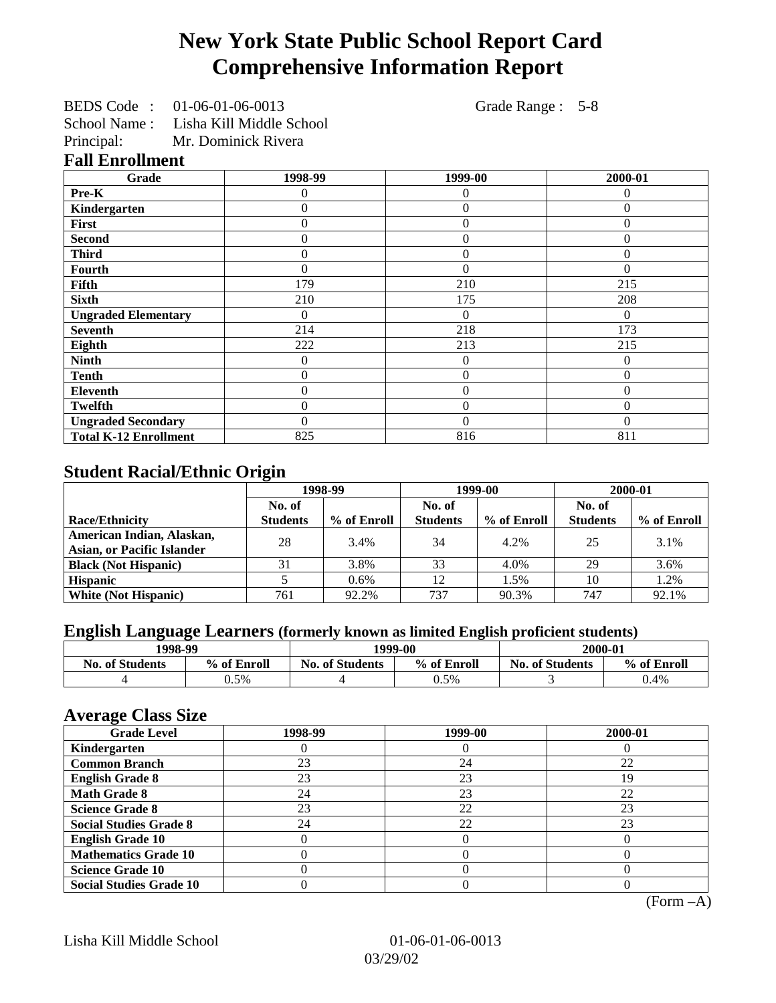## **New York State Public School Report Card Comprehensive Information Report**

BEDS Code : 01-06-01-06-0013 Grade Range : 5-8

School Name : Lisha Kill Middle School

Principal: Mr. Dominick Rivera

|  | <b>Fall Enrollment</b> |  |
|--|------------------------|--|
|--|------------------------|--|

| Grade                        | 1998-99  | 1999-00        | 2000-01  |
|------------------------------|----------|----------------|----------|
| Pre-K                        |          | 0              | 0        |
| Kindergarten                 | 0        | $\theta$       | $\Omega$ |
| First                        | 0        | $\theta$       | $\Omega$ |
| <b>Second</b>                | 0        | $\theta$       | $\Omega$ |
| <b>Third</b>                 | 0        | $\theta$       | $\Omega$ |
| <b>Fourth</b>                | 0        | $\theta$       | $\Omega$ |
| <b>Fifth</b>                 | 179      | 210            | 215      |
| <b>Sixth</b>                 | 210      | 175            | 208      |
| <b>Ungraded Elementary</b>   |          | $\Omega$       | $\Omega$ |
| <b>Seventh</b>               | 214      | 218            | 173      |
| Eighth                       | 222      | 213            | 215      |
| <b>Ninth</b>                 | $\Omega$ | $\theta$       | $\Omega$ |
| <b>Tenth</b>                 | 0        | $\overline{0}$ | $\Omega$ |
| <b>Eleventh</b>              | 0        | $\overline{0}$ | $\Omega$ |
| Twelfth                      | 0        | $\theta$       | $\Omega$ |
| <b>Ungraded Secondary</b>    | 0        | $\theta$       | $\Omega$ |
| <b>Total K-12 Enrollment</b> | 825      | 816            | 811      |

## **Student Racial/Ethnic Origin**

|                                   | 1998-99         |             | 1999-00         |             | 2000-01         |             |
|-----------------------------------|-----------------|-------------|-----------------|-------------|-----------------|-------------|
|                                   | No. of          |             | No. of          |             | No. of          |             |
| <b>Race/Ethnicity</b>             | <b>Students</b> | % of Enroll | <b>Students</b> | % of Enroll | <b>Students</b> | % of Enroll |
| American Indian, Alaskan,         | 28              | 3.4%        | 34              | 4.2%        | 25              | 3.1%        |
| <b>Asian, or Pacific Islander</b> |                 |             |                 |             |                 |             |
| <b>Black (Not Hispanic)</b>       | 31              | 3.8%        | 33              | 4.0%        | 29              | 3.6%        |
| <b>Hispanic</b>                   |                 | 0.6%        | 12              | 1.5%        | 10              | 1.2%        |
| <b>White (Not Hispanic)</b>       | 761             | 92.2%       | 737             | 90.3%       | 747             | 92.1%       |

## **English Language Learners (formerly known as limited English proficient students)**

| 1998-99                |             | 2000-01<br>1999-00     |             |                        |             |
|------------------------|-------------|------------------------|-------------|------------------------|-------------|
| <b>No. of Students</b> | % of Enroll | <b>No. of Students</b> | % of Enroll | <b>No. of Students</b> | % of Enroll |
|                        | 0.5%        |                        | 0.5%        |                        | 0.4%        |

### **Average Class Size**

| o<br><b>Grade Level</b>        | 1998-99 | 1999-00 | 2000-01 |
|--------------------------------|---------|---------|---------|
| Kindergarten                   |         |         |         |
| <b>Common Branch</b>           | 23      | 24      | 22      |
| <b>English Grade 8</b>         | 23      | 23      | 19      |
| <b>Math Grade 8</b>            | 24      | 23      | 22      |
| <b>Science Grade 8</b>         | 23      | 22      | 23      |
| <b>Social Studies Grade 8</b>  | 24      | 22      | 23      |
| <b>English Grade 10</b>        |         |         |         |
| <b>Mathematics Grade 10</b>    |         |         |         |
| <b>Science Grade 10</b>        |         |         |         |
| <b>Social Studies Grade 10</b> |         |         |         |

(Form –A)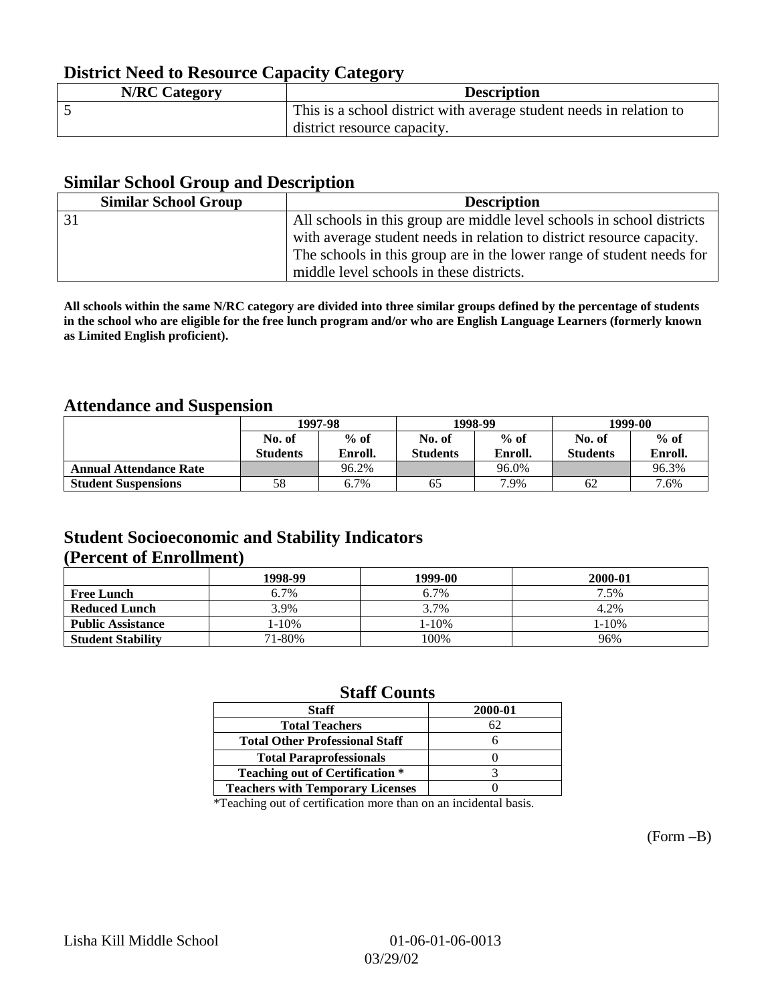## **District Need to Resource Capacity Category**

| <b>N/RC Category</b> | <b>Description</b>                                                  |
|----------------------|---------------------------------------------------------------------|
|                      | This is a school district with average student needs in relation to |
|                      | district resource capacity.                                         |

### **Similar School Group and Description**

| <b>Similar School Group</b> | <b>Description</b>                                                     |
|-----------------------------|------------------------------------------------------------------------|
|                             | All schools in this group are middle level schools in school districts |
|                             | with average student needs in relation to district resource capacity.  |
|                             | The schools in this group are in the lower range of student needs for  |
|                             | middle level schools in these districts.                               |

**All schools within the same N/RC category are divided into three similar groups defined by the percentage of students in the school who are eligible for the free lunch program and/or who are English Language Learners (formerly known as Limited English proficient).**

## **Attendance and Suspension**

|                               | 1997-98         |         |                 | 1998-99 | 1999-00         |         |
|-------------------------------|-----------------|---------|-----------------|---------|-----------------|---------|
|                               | No. of          | $%$ of  | No. of          | $%$ of  | No. of          | $%$ of  |
|                               | <b>Students</b> | Enroll. | <b>Students</b> | Enroll. | <b>Students</b> | Enroll. |
| <b>Annual Attendance Rate</b> |                 | 96.2%   |                 | 96.0%   |                 | 96.3%   |
| <b>Student Suspensions</b>    | 58              | 6.7%    | 65              | 7.9%    | 62              | 7.6%    |

## **Student Socioeconomic and Stability Indicators (Percent of Enrollment)**

|                          | 1998-99    | 1999-00   | 2000-01 |
|--------------------------|------------|-----------|---------|
| <b>Free Lunch</b>        | 6.7%       | 6.7%      | 7.5%    |
| <b>Reduced Lunch</b>     | 3.9%       | 3.7%      | 4.2%    |
| <b>Public Assistance</b> | $1 - 10\%$ | $1 - 10%$ | 1-10%   |
| <b>Student Stability</b> | 71-80%     | 100%      | 96%     |

### **Staff Counts**

| <b>Staff</b>                            | 2000-01 |
|-----------------------------------------|---------|
| <b>Total Teachers</b>                   |         |
| <b>Total Other Professional Staff</b>   |         |
| <b>Total Paraprofessionals</b>          |         |
| <b>Teaching out of Certification *</b>  |         |
| <b>Teachers with Temporary Licenses</b> |         |

\*Teaching out of certification more than on an incidental basis.

(Form –B)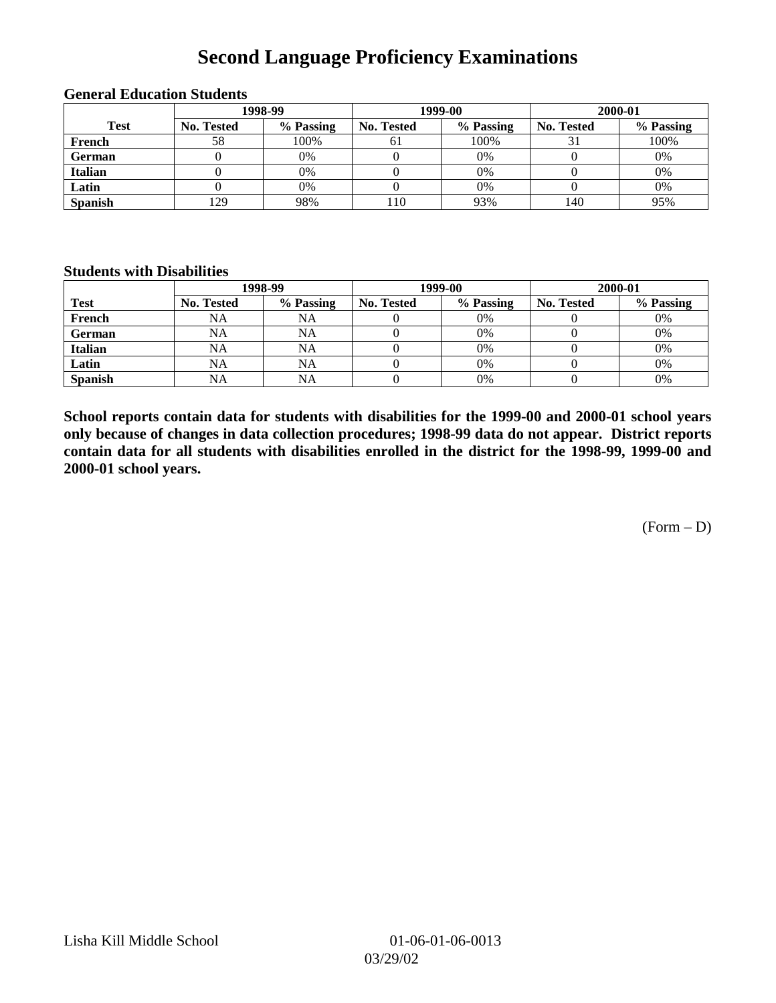## **Second Language Proficiency Examinations**

|                | 1998-99    |           |                   | 1999-00   | 2000-01           |           |
|----------------|------------|-----------|-------------------|-----------|-------------------|-----------|
| <b>Test</b>    | No. Tested | % Passing | <b>No. Tested</b> | % Passing | <b>No. Tested</b> | % Passing |
| French         | 58         | 100%      | 61                | 100%      |                   | 100%      |
| <b>German</b>  |            | 0%        |                   | 0%        |                   | 0%        |
| <b>Italian</b> |            | 0%        |                   | 0%        |                   | 0%        |
| Latin          |            | 0%        |                   | 0%        |                   | 0%        |
| <b>Spanish</b> | 129        | 98%       | 110               | 93%       | 140               | 95%       |

#### **General Education Students**

#### **Students with Disabilities**

|                | 1998-99    |           |                   | 1999-00   | 2000-01           |           |
|----------------|------------|-----------|-------------------|-----------|-------------------|-----------|
| <b>Test</b>    | No. Tested | % Passing | <b>No. Tested</b> | % Passing | <b>No. Tested</b> | % Passing |
| French         | NA         | NA        |                   | 0%        |                   | 0%        |
| <b>German</b>  | NA         | NA        |                   | 0%        |                   | 0%        |
| <b>Italian</b> | <b>NA</b>  | NA        |                   | 0%        |                   | 0%        |
| Latin          | NA         | <b>NA</b> |                   | 0%        |                   | 0%        |
| <b>Spanish</b> | <b>NA</b>  | NA        |                   | 0%        |                   | 0%        |

**School reports contain data for students with disabilities for the 1999-00 and 2000-01 school years only because of changes in data collection procedures; 1998-99 data do not appear. District reports contain data for all students with disabilities enrolled in the district for the 1998-99, 1999-00 and 2000-01 school years.**

 $(Form - D)$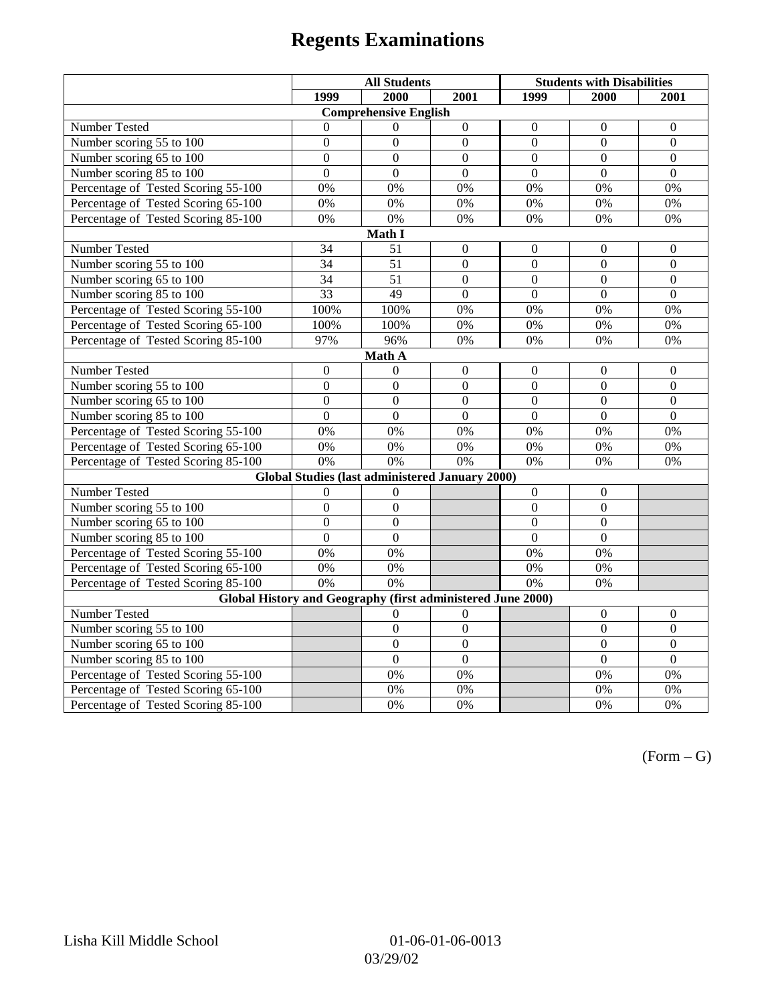# **Regents Examinations**

|                                                             | <b>All Students</b> |                  |                  | <b>Students with Disabilities</b> |                  |                  |  |  |
|-------------------------------------------------------------|---------------------|------------------|------------------|-----------------------------------|------------------|------------------|--|--|
|                                                             | 1999                | 2000             | 2001             | 1999                              | 2000             | 2001             |  |  |
| <b>Comprehensive English</b>                                |                     |                  |                  |                                   |                  |                  |  |  |
| Number Tested                                               | $\theta$            | $\Omega$         | $\boldsymbol{0}$ | $\boldsymbol{0}$                  | $\boldsymbol{0}$ | $\boldsymbol{0}$ |  |  |
| Number scoring 55 to 100                                    | $\boldsymbol{0}$    | $\boldsymbol{0}$ | $\boldsymbol{0}$ | $\mathbf{0}$                      | $\mathbf{0}$     | $\mathbf{0}$     |  |  |
| Number scoring 65 to 100                                    | $\overline{0}$      | $\overline{0}$   | $\overline{0}$   | $\overline{0}$                    | $\overline{0}$   | $\mathbf{0}$     |  |  |
| Number scoring 85 to 100                                    | $\overline{0}$      | $\overline{0}$   | $\overline{0}$   | $\overline{0}$                    | $\overline{0}$   | $\Omega$         |  |  |
| Percentage of Tested Scoring 55-100                         | 0%                  | 0%               | 0%               | 0%                                | 0%               | 0%               |  |  |
| Percentage of Tested Scoring 65-100                         | 0%                  | 0%               | 0%               | 0%                                | 0%               | 0%               |  |  |
| Percentage of Tested Scoring 85-100                         | 0%                  | 0%               | 0%               | 0%                                | 0%               | 0%               |  |  |
|                                                             |                     | Math I           |                  |                                   |                  |                  |  |  |
| <b>Number Tested</b>                                        | 34                  | 51               | $\boldsymbol{0}$ | $\boldsymbol{0}$                  | $\boldsymbol{0}$ | $\boldsymbol{0}$ |  |  |
| Number scoring 55 to 100                                    | 34                  | $\overline{51}$  | $\overline{0}$   | $\overline{0}$                    | $\mathbf{0}$     | $\mathbf{0}$     |  |  |
| Number scoring 65 to 100                                    | 34                  | 51               | $\overline{0}$   | $\overline{0}$                    | $\boldsymbol{0}$ | $\boldsymbol{0}$ |  |  |
| Number scoring 85 to 100                                    | 33                  | 49               | $\overline{0}$   | $\overline{0}$                    | $\overline{0}$   | $\overline{0}$   |  |  |
| Percentage of Tested Scoring 55-100                         | 100%                | 100%             | 0%               | $0\%$                             | 0%               | 0%               |  |  |
| Percentage of Tested Scoring 65-100                         | 100%                | 100%             | 0%               | 0%                                | 0%               | 0%               |  |  |
| Percentage of Tested Scoring 85-100                         | 97%                 | 96%              | $0\%$            | 0%                                | 0%               | 0%               |  |  |
|                                                             |                     | Math A           |                  |                                   |                  |                  |  |  |
| Number Tested                                               | $\boldsymbol{0}$    | $\mathbf{0}$     | $\boldsymbol{0}$ | $\boldsymbol{0}$                  | $\boldsymbol{0}$ | $\boldsymbol{0}$ |  |  |
| Number scoring 55 to 100                                    | $\boldsymbol{0}$    | $\boldsymbol{0}$ | $\overline{0}$   | $\overline{0}$                    | $\overline{0}$   | $\boldsymbol{0}$ |  |  |
| Number scoring 65 to 100                                    | $\mathbf{0}$        | $\mathbf{0}$     | $\mathbf{0}$     | $\overline{0}$                    | $\mathbf{0}$     | $\boldsymbol{0}$ |  |  |
| Number scoring 85 to 100                                    | $\overline{0}$      | $\overline{0}$   | $\mathbf{0}$     | $\overline{0}$                    | $\mathbf{0}$     | $\mathbf{0}$     |  |  |
| Percentage of Tested Scoring 55-100                         | 0%                  | 0%               | 0%               | 0%                                | 0%               | 0%               |  |  |
| Percentage of Tested Scoring 65-100                         | 0%                  | 0%               | $\overline{0\%}$ | $\overline{0\%}$                  | $\overline{0\%}$ | $\overline{0\%}$ |  |  |
| Percentage of Tested Scoring 85-100                         | 0%                  | 0%               | 0%               | 0%                                | 0%               | 0%               |  |  |
| Global Studies (last administered January 2000)             |                     |                  |                  |                                   |                  |                  |  |  |
| Number Tested                                               | $\boldsymbol{0}$    | $\boldsymbol{0}$ |                  | $\mathbf{0}$                      | $\boldsymbol{0}$ |                  |  |  |
| Number scoring 55 to 100                                    | $\overline{0}$      | $\overline{0}$   |                  | $\overline{0}$                    | $\overline{0}$   |                  |  |  |
| Number scoring 65 to 100                                    | $\mathbf{0}$        | $\mathbf{0}$     |                  | $\theta$                          | $\mathbf{0}$     |                  |  |  |
| Number scoring 85 to 100                                    | $\overline{0}$      | $\mathbf{0}$     |                  | $\overline{0}$                    | $\mathbf{0}$     |                  |  |  |
| Percentage of Tested Scoring 55-100                         | 0%                  | 0%               |                  | 0%                                | 0%               |                  |  |  |
| Percentage of Tested Scoring 65-100                         | 0%                  | 0%               |                  | $0\%$                             | 0%               |                  |  |  |
| Percentage of Tested Scoring 85-100                         | 0%                  | $\overline{0\%}$ |                  | 0%                                | 0%               |                  |  |  |
| Global History and Geography (first administered June 2000) |                     |                  |                  |                                   |                  |                  |  |  |
| Number Tested                                               |                     | 0                | $\overline{0}$   |                                   | $\mathbf{0}$     | $\mathbf{0}$     |  |  |
| Number scoring 55 to 100                                    |                     | $\boldsymbol{0}$ | $\overline{0}$   |                                   | $\boldsymbol{0}$ | $\boldsymbol{0}$ |  |  |
| Number scoring 65 to 100                                    |                     | $\mathbf{0}$     | $\overline{0}$   |                                   | $\overline{0}$   | $\boldsymbol{0}$ |  |  |
| Number scoring 85 to 100                                    |                     | $\overline{0}$   | $\overline{0}$   |                                   | $\overline{0}$   | $\overline{0}$   |  |  |
| Percentage of Tested Scoring 55-100                         |                     | 0%               | 0%               |                                   | 0%               | 0%               |  |  |
| Percentage of Tested Scoring 65-100                         |                     | 0%               | 0%               |                                   | 0%               | 0%               |  |  |
| Percentage of Tested Scoring 85-100                         |                     | 0%               | 0%               |                                   | 0%               | 0%               |  |  |

 $(Form - G)$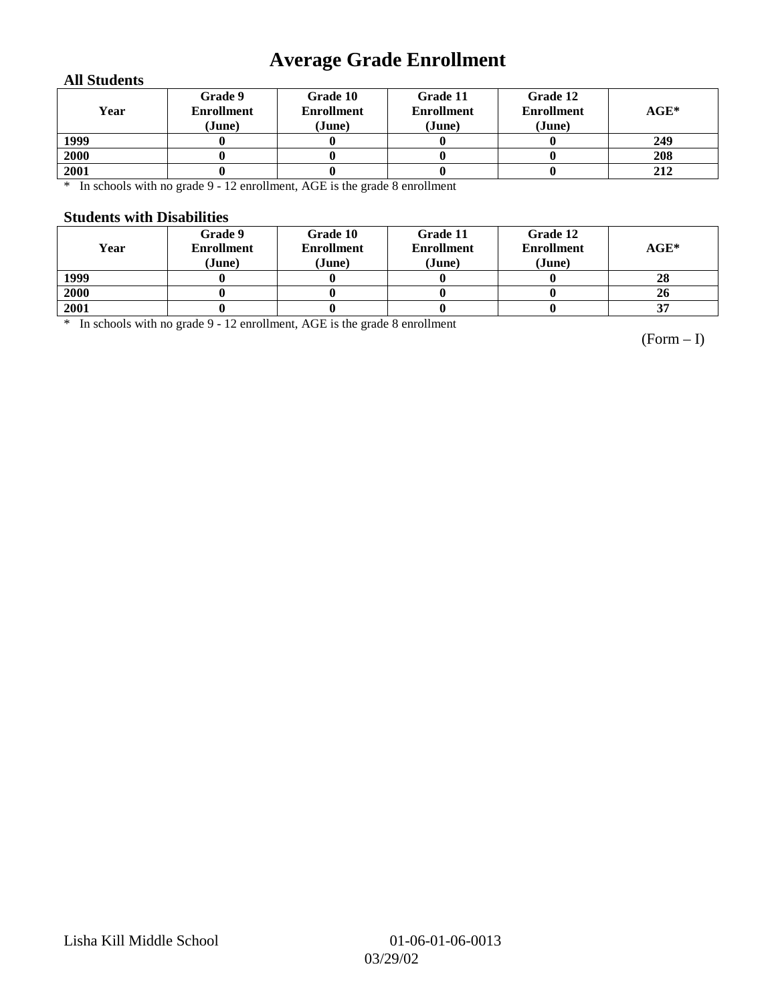## **Average Grade Enrollment**

### **All Students**

| Year | Grade 9<br><b>Enrollment</b><br>(June) | Grade 10<br><b>Enrollment</b><br>(June) | Grade 11<br><b>Enrollment</b><br>(June) | Grade 12<br><b>Enrollment</b><br>(June) | $AGE^*$ |
|------|----------------------------------------|-----------------------------------------|-----------------------------------------|-----------------------------------------|---------|
| 1999 |                                        |                                         |                                         |                                         | 249     |
| 2000 |                                        |                                         |                                         |                                         | 208     |
| 2001 |                                        |                                         |                                         |                                         | 212     |

\* In schools with no grade 9 - 12 enrollment, AGE is the grade 8 enrollment

#### **Students with Disabilities**

| Year | Grade 9<br><b>Enrollment</b><br>(June) | Grade 10<br><b>Enrollment</b><br>(June) | Grade 11<br><b>Enrollment</b><br>(June) | Grade 12<br><b>Enrollment</b><br>(June) | $AGE^*$ |
|------|----------------------------------------|-----------------------------------------|-----------------------------------------|-----------------------------------------|---------|
| 1999 |                                        |                                         |                                         |                                         | 28      |
| 2000 |                                        |                                         |                                         |                                         | 26      |
| 2001 |                                        |                                         |                                         |                                         | 37      |

\* In schools with no grade 9 - 12 enrollment, AGE is the grade 8 enrollment

(Form – I)